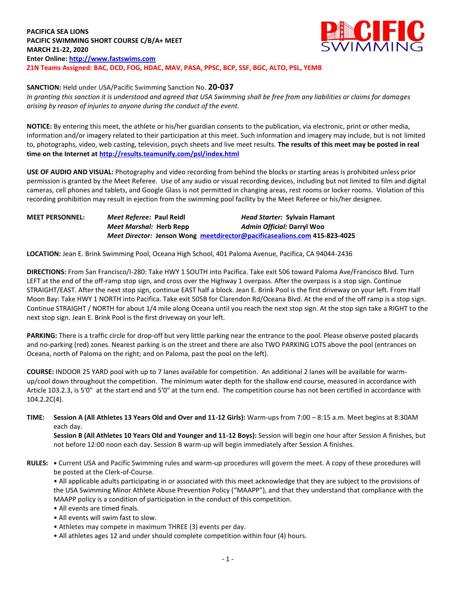**PACIFICA SEA LIONS PACIFIC SWIMMING SHORT COURSE C/B/A+ MEET MARCH 21-22, 2020 Enter Online: [http://www.fastswims.com](http://www.fastswims.com/) Z1N Teams Assigned: BAC, DCD, FOG, HDAC, MAV, PASA, PPSC, BCP, SSF, BGC, ALTO, PSL, YEMB**



**SANCTION:** Held under USA/Pacific Swimming Sanction No. **20-037**

*In granting this sanction it is understood and agreed that USA Swimming shall be free from any liabilities or claims for damages arising by reason of injuries to anyone during the conduct of the event.* 

**NOTICE:** By entering this meet, the athlete or his/her guardian consents to the publication, via electronic, print or other media, information and/or imagery related to their participation at this meet. Such information and imagery may include, but is not limited to, photographs, video, web casting, television, psych sheets and live meet results. **The results of this meet may be posted in real time on the Internet a[t http://results.teamunify.com/psl/index.html](http://results.teamunify.com/psl/index.html)**

**USE OF AUDIO AND VISUAL:** Photography and video recording from behind the blocks or starting areas is prohibited unless prior permission is granted by the Meet Referee. Use of any audio or visual recording devices, including but not limited to film and digital cameras, cell phones and tablets, and Google Glass is not permitted in changing areas, rest rooms or locker rooms. Violation of this recording prohibition may result in ejection from the swimming pool facility by the Meet Referee or his/her designee.

## **MEET PERSONNEL:** *Meet Referee:* **Paul Reidl** *Head Starter:* **Sylvain Flamant** *Meet Marshal:* **Herb Repp** *Admin Official:* **Darryl Woo** *Meet Director:* **Jenson Wong [meetdirector@pacificasealions.com](mailto:meetdirector@pacificasealions.com) 415-823-4025**

**LOCATION:** Jean E. Brink Swimming Pool, Oceana High School, 401 Paloma Avenue, Pacifica, CA 94044-2436

**DIRECTIONS:** From San Francisco/I-280: Take HWY 1 SOUTH into Pacifica. Take exit 506 toward Paloma Ave/Francisco Blvd. Turn LEFT at the end of the off-ramp stop sign, and cross over the Highway 1 overpass. After the overpass is a stop sign. Continue STRAIGHT/EAST. After the next stop sign, continue EAST half a block. Jean E. Brink Pool is the first driveway on your left. From Half Moon Bay: Take HWY 1 NORTH into Pacifica. Take exit 505B for Clarendon Rd/Oceana Blvd. At the end of the off ramp is a stop sign. Continue STRAIGHT / NORTH for about 1/4 mile along Oceana until you reach the next stop sign. At the stop sign take a RIGHT to the next stop sign. Jean E. Brink Pool is the first driveway on your left.

**PARKING:** There is a traffic circle for drop-off but very little parking near the entrance to the pool. Please observe posted placards and no-parking (red) zones. Nearest parking is on the street and there are also TWO PARKING LOTS above the pool (entrances on Oceana, north of Paloma on the right; and on Paloma, past the pool on the left).

**COURSE:** INDOOR 25 YARD pool with up to 7 lanes available for competition. An additional 2 lanes will be available for warmup/cool down throughout the competition. The minimum water depth for the shallow end course, measured in accordance with Article 103.2.3, is 5'0" at the start end and 5'0" at the turn end. The competition course has not been certified in accordance with 104.2.2C(4).

**TIME: Session A (All Athletes 13 Years Old and Over and 11-12 Girls):** Warm-ups from 7:00 – 8:15 a.m. Meet begins at 8:30AM each day.

**Session B (All Athletes 10 Years Old and Younger and 11-12 Boys):** Session will begin one hour after Session A finishes, but not before 12:00 noon each day. Session B warm-up will begin immediately after Session A finishes.

**RULES: •** Current USA and Pacific Swimming rules and warm-up procedures will govern the meet. A copy of these procedures will be posted at the Clerk-of-Course.

• All applicable adults participating in or associated with this meet acknowledge that they are subject to the provisions of the USA Swimming Minor Athlete Abuse Prevention Policy ("MAAPP"), and that they understand that compliance with the MAAPP policy is a condition of participation in the conduct of this competition.

- All events are timed finals.
- All events will swim fast to slow.
- Athletes may compete in maximum THREE (3) events per day.
- All athletes ages 12 and under should complete competition within four (4) hours.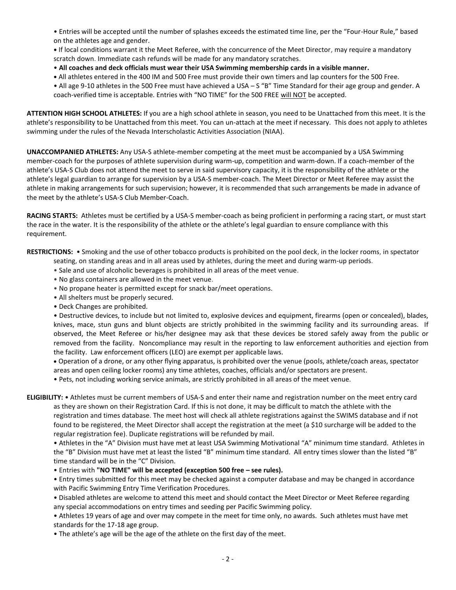• Entries will be accepted until the number of splashes exceeds the estimated time line, per the "Four-Hour Rule," based on the athletes age and gender.

**•** If local conditions warrant it the Meet Referee, with the concurrence of the Meet Director, may require a mandatory scratch down. Immediate cash refunds will be made for any mandatory scratches.

- **All coaches and deck officials must wear their USA Swimming membership cards in a visible manner.**
- **•** All athletes entered in the 400 IM and 500 Free must provide their own timers and lap counters for the 500 Free.

• All age 9-10 athletes in the 500 Free must have achieved a USA – S "B" Time Standard for their age group and gender. A coach-verified time is acceptable. Entries with "NO TIME" for the 500 FREE will NOT be accepted.

**ATTENTION HIGH SCHOOL ATHLETES:** If you are a high school athlete in season, you need to be Unattached from this meet. It is the athlete's responsibility to be Unattached from this meet. You can un-attach at the meet if necessary. This does not apply to athletes swimming under the rules of the Nevada Interscholastic Activities Association (NIAA).

**UNACCOMPANIED ATHLETES:** Any USA-S athlete-member competing at the meet must be accompanied by a USA Swimming member-coach for the purposes of athlete supervision during warm-up, competition and warm-down. If a coach-member of the athlete's USA-S Club does not attend the meet to serve in said supervisory capacity, it is the responsibility of the athlete or the athlete's legal guardian to arrange for supervision by a USA-S member-coach. The Meet Director or Meet Referee may assist the athlete in making arrangements for such supervision; however, it is recommended that such arrangements be made in advance of the meet by the athlete's USA-S Club Member-Coach.

**RACING STARTS:** Athletes must be certified by a USA-S member-coach as being proficient in performing a racing start, or must start the race in the water. It is the responsibility of the athlete or the athlete's legal guardian to ensure compliance with this requirement.

**RESTRICTIONS:** • Smoking and the use of other tobacco products is prohibited on the pool deck, in the locker rooms, in spectator

seating, on standing areas and in all areas used by athletes, during the meet and during warm-up periods.

- Sale and use of alcoholic beverages is prohibited in all areas of the meet venue.
- No glass containers are allowed in the meet venue.
- No propane heater is permitted except for snack bar/meet operations.
- All shelters must be properly secured.
- Deck Changes are prohibited.

• Destructive devices, to include but not limited to, explosive devices and equipment, firearms (open or concealed), blades, knives, mace, stun guns and blunt objects are strictly prohibited in the swimming facility and its surrounding areas. If observed, the Meet Referee or his/her designee may ask that these devices be stored safely away from the public or removed from the facility. Noncompliance may result in the reporting to law enforcement authorities and ejection from the facility. Law enforcement officers (LEO) are exempt per applicable laws.

 Operation of a drone, or any other flying apparatus, is prohibited over the venue (pools, athlete/coach areas, spectator areas and open ceiling locker rooms) any time athletes, coaches, officials and/or spectators are present.

• Pets, not including working service animals, are strictly prohibited in all areas of the meet venue.

**ELIGIBILITY:** • Athletes must be current members of USA-S and enter their name and registration number on the meet entry card as they are shown on their Registration Card. If this is not done, it may be difficult to match the athlete with the registration and times database. The meet host will check all athlete registrations against the SWIMS database and if not found to be registered, the Meet Director shall accept the registration at the meet (a \$10 surcharge will be added to the regular registration fee). Duplicate registrations will be refunded by mail.

• Athletes in the "A" Division must have met at least USA Swimming Motivational "A" minimum time standard. Athletes in the "B" Division must have met at least the listed "B" minimum time standard. All entry times slower than the listed "B" time standard will be in the "C" Division.

• Entries with **"NO TIME" will be accepted (exception 500 free – see rules).**

• Entry times submitted for this meet may be checked against a computer database and may be changed in accordance with Pacific Swimming Entry Time Verification Procedures.

- Disabled athletes are welcome to attend this meet and should contact the Meet Director or Meet Referee regarding any special accommodations on entry times and seeding per Pacific Swimming policy.
- Athletes 19 years of age and over may compete in the meet for time only, no awards. Such athletes must have met standards for the 17-18 age group.
- The athlete's age will be the age of the athlete on the first day of the meet.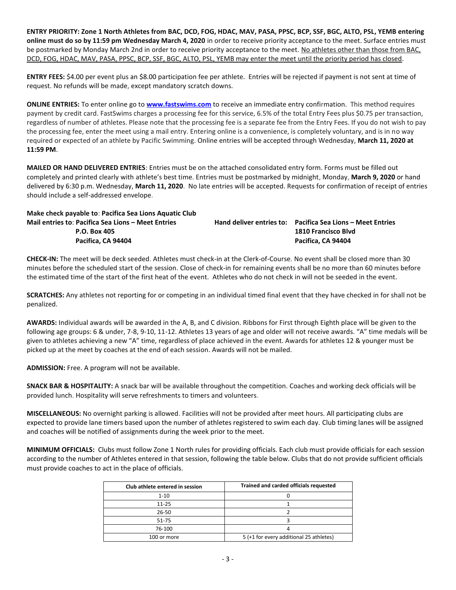**ENTRY PRIORITY: Zone 1 North Athletes from BAC, DCD, FOG, HDAC, MAV, PASA, PPSC, BCP, SSF, BGC, ALTO, PSL, YEMB entering online must do so by 11:59 pm Wednesday March 4, 2020** in order to receive priority acceptance to the meet. Surface entries must be postmarked by Monday March 2nd in order to receive priority acceptance to the meet. No athletes other than those from BAC, DCD, FOG, HDAC, MAV, PASA, PPSC, BCP, SSF, BGC, ALTO, PSL, YEMB may enter the meet until the priority period has closed.

**ENTRY FEES:** \$4.00 per event plus an \$8.00 participation fee per athlete. Entries will be rejected if payment is not sent at time of request. No refunds will be made, except mandatory scratch downs.

**ONLINE ENTRIES:** To enter online go to **[www.fastswims.com](http://www.fastswims.com/)** to receive an immediate entry confirmation. This method requires payment by credit card. FastSwims charges a processing fee for this service, 6.5% of the total Entry Fees plus \$0.75 per transaction, regardless of number of athletes. Please note that the processing fee is a separate fee from the Entry Fees. If you do not wish to pay the processing fee, enter the meet using a mail entry. Entering online is a convenience, is completely voluntary, and is in no way required or expected of an athlete by Pacific Swimming. Online entries will be accepted through Wednesday, **March 11, 2020 at 11:59 PM**.

**MAILED OR HAND DELIVERED ENTRIES**: Entries must be on the attached consolidated entry form. Forms must be filled out completely and printed clearly with athlete's best time. Entries must be postmarked by midnight, Monday, **March 9, 2020** or hand delivered by 6:30 p.m. Wednesday, **March 11, 2020**. No late entries will be accepted. Requests for confirmation of receipt of entries should include a self-addressed envelope.

| Make check payable to: Pacifica Sea Lions Aquatic Club |                                                            |
|--------------------------------------------------------|------------------------------------------------------------|
| Mail entries to: Pacifica Sea Lions - Meet Entries     | Hand deliver entries to: Pacifica Sea Lions – Meet Entries |
| <b>P.O. Box 405</b>                                    | 1810 Francisco Blvd                                        |
| Pacifica. CA 94404                                     | Pacifica. CA 94404                                         |
|                                                        |                                                            |

**CHECK-IN:** The meet will be deck seeded. Athletes must check-in at the Clerk-of-Course. No event shall be closed more than 30 minutes before the scheduled start of the session. Close of check-in for remaining events shall be no more than 60 minutes before the estimated time of the start of the first heat of the event. Athletes who do not check in will not be seeded in the event.

**SCRATCHES:** Any athletes not reporting for or competing in an individual timed final event that they have checked in for shall not be penalized.

**AWARDS:** Individual awards will be awarded in the A, B, and C division. Ribbons for First through Eighth place will be given to the following age groups: 6 & under, 7-8, 9-10, 11-12. Athletes 13 years of age and older will not receive awards. "A" time medals will be given to athletes achieving a new "A" time, regardless of place achieved in the event. Awards for athletes 12 & younger must be picked up at the meet by coaches at the end of each session. Awards will not be mailed.

**ADMISSION:** Free. A program will not be available.

**SNACK BAR & HOSPITALITY:** A snack bar will be available throughout the competition. Coaches and working deck officials will be provided lunch. Hospitality will serve refreshments to timers and volunteers.

**MISCELLANEOUS:** No overnight parking is allowed. Facilities will not be provided after meet hours. All participating clubs are expected to provide lane timers based upon the number of athletes registered to swim each day. Club timing lanes will be assigned and coaches will be notified of assignments during the week prior to the meet.

**MINIMUM OFFICIALS:** Clubs must follow Zone 1 North rules for providing officials. Each club must provide officials for each session according to the number of Athletes entered in that session, following the table below. Clubs that do not provide sufficient officials must provide coaches to act in the place of officials.

| Club athlete entered in session | Trained and carded officials requested  |
|---------------------------------|-----------------------------------------|
| $1 - 10$                        |                                         |
| $11 - 25$                       |                                         |
| 26-50                           |                                         |
| 51-75                           |                                         |
| 76-100                          |                                         |
| 100 or more                     | 5 (+1 for every additional 25 athletes) |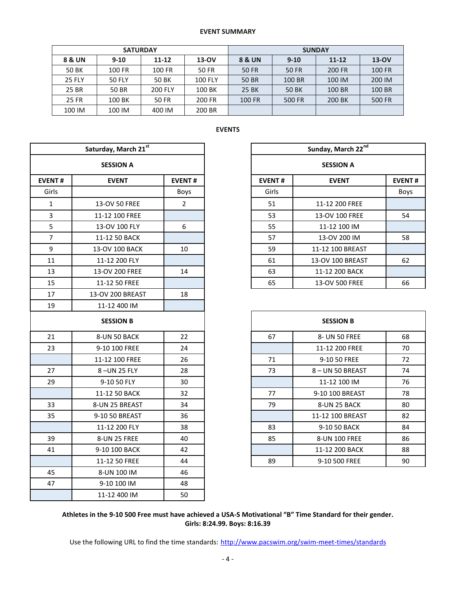## **EVENT SUMMARY**

|               | <b>SATURDAY</b> |                |                |        | <b>SUNDAY</b> |           |         |
|---------------|-----------------|----------------|----------------|--------|---------------|-----------|---------|
| 8 & UN        | $9-10$          | $11 - 12$      | $13-OV$        | 8 & UN | $9 - 10$      | $11 - 12$ | $13-OV$ |
| 50 BK         | 100 FR          | 100 FR         | 50 FR          | 50 FR  | 50 FR         | 200 FR    | 100 FR  |
| <b>25 FLY</b> | <b>50 FLY</b>   | 50 BK          | <b>100 FLY</b> | 50 BR  | 100 BR        | 100 IM    | 200 IM  |
| 25 BR         | 50 BR           | <b>200 FLY</b> | 100 BK         | 25 BK  | 50 BK         | 100 BR    | 100 BR  |
| <b>25 FR</b>  | 100 BK          | 50 FR          | 200 FR         | 100 FR | 500 FR        | 200 BK    | 500 FR  |
| 100 IM        | 100 IM          | 400 IM         | 200 BR         |        |               |           |         |

|                | Saturday, March 21st |                |               | Sunday, March 22 <sup>nd</sup> |               |  |  |  |
|----------------|----------------------|----------------|---------------|--------------------------------|---------------|--|--|--|
|                | <b>SESSION A</b>     |                |               | <b>SESSION A</b>               |               |  |  |  |
| <b>EVENT#</b>  | <b>EVENT</b>         | <b>EVENT#</b>  | <b>EVENT#</b> | <b>EVENT</b>                   | <b>EVENT#</b> |  |  |  |
| Girls          |                      | Boys           | Girls         |                                | Boys          |  |  |  |
| $\mathbf{1}$   | 13-OV 50 FREE        | $\overline{2}$ | 51            | 11-12 200 FREE                 |               |  |  |  |
| 3              | 11-12 100 FREE       |                | 53            | 13-OV 100 FREE                 | 54            |  |  |  |
| 5              | 13-OV 100 FLY        | 6              | 55            | 11-12 100 IM                   |               |  |  |  |
| $\overline{7}$ | 11-12 50 BACK        |                | 57            | 13-OV 200 IM                   | 58            |  |  |  |
| 9              | 13-OV 100 BACK       | 10             | 59            | 11-12 100 BREAST               |               |  |  |  |
| 11             | 11-12 200 FLY        |                | 61            | 13-OV 100 BREAST               | 62            |  |  |  |
| 13             | 13-OV 200 FREE       | 14             | 63            | 11-12 200 BACK                 |               |  |  |  |
| 15             | 11-12 50 FREE        |                | 65            | 13-OV 500 FREE                 | 66            |  |  |  |
| 17             | 13-OV 200 BREAST     | 18             |               |                                |               |  |  |  |
| 19             | 11-12 400 IM         |                |               |                                |               |  |  |  |
|                | <b>SESSION B</b>     |                |               | <b>SESSION B</b>               |               |  |  |  |
| 21             | 8-UN 50 BACK         | 22             | 67            | 8- UN 50 FREE                  | 68            |  |  |  |
| 23             | 9-10 100 FREE        | 24             |               | 11-12 200 FREE                 | 70            |  |  |  |
|                | 11-12 100 FREE       | 26             | 71            | 9-10 50 FREE                   | 72            |  |  |  |
| 27             | 8-UN 25 FLY          | 28             | 73            | 8-UN 50 BREAST                 | 74            |  |  |  |
| 29             | 9-10 50 FLY          | 30             |               | 11-12 100 IM                   | 76            |  |  |  |
|                | 11-12 50 BACK        | 32             | 77            | 9-10 100 BREAST                | 78            |  |  |  |
| 33             | 8-UN 25 BREAST       | 34             | 79            | 8-UN 25 BACK                   | 80            |  |  |  |
| 35             | 9-10 50 BREAST       | 36             |               | 11-12 100 BREAST               | 82            |  |  |  |
|                | 11-12 200 FLY        | 38             | 83            | 9-10 50 BACK                   | 84            |  |  |  |
| 39             | 8-UN 25 FREE         | 40             | 85            | 8-UN 100 FREE                  | 86            |  |  |  |
| 41             | 9-10 100 BACK        | 42             |               | 11-12 200 BACK                 | 88            |  |  |  |
|                | 11-12 50 FREE        | 44             | 89            | 9-10 500 FREE                  | 90            |  |  |  |
| 45             | 8-UN 100 IM          | 46             |               |                                |               |  |  |  |
| 47             | 9-10 100 IM          | 48             |               |                                |               |  |  |  |
|                | 11-12 400 IM         | 50             |               |                                |               |  |  |  |

|                | Saturday, March 21st          |                |               | Sunday, March 22nd |               |
|----------------|-------------------------------|----------------|---------------|--------------------|---------------|
|                | <b>SESSION A</b>              |                |               | <b>SESSION A</b>   |               |
| NT#            | <b>EVENT#</b><br><b>EVENT</b> |                | <b>EVENT#</b> | <b>EVENT</b>       | <b>EVENT#</b> |
| irls           |                               | <b>Boys</b>    | Girls         |                    | Boys          |
| 1              | 13-OV 50 FREE                 | $\overline{2}$ | 51            | 11-12 200 FREE     |               |
| 3              | 11-12 100 FREE                |                | 53            | 13-OV 100 FREE     | 54            |
| 5              | 13-OV 100 FLY                 | 6              | 55            | 11-12 100 IM       |               |
| $\overline{7}$ | 11-12 50 BACK                 |                | 57            | 13-OV 200 IM       | 58            |
| 9              | 13-OV 100 BACK                | 10             | 59            | 11-12 100 BREAST   |               |
| $\overline{1}$ | 11-12 200 FLY                 |                | 61            | 13-OV 100 BREAST   | 62            |
| L3             | 13-OV 200 FREE                | 14             | 63            | 11-12 200 BACK     |               |
| L5             | 11-12 50 FREE                 |                | 65            | 13-OV 500 FREE     | 66            |
|                |                               |                |               |                    |               |

| <b>SESSION B</b> |    | <b>SESSION B</b> |                  |    |  |  |
|------------------|----|------------------|------------------|----|--|--|
| 8-UN 50 BACK     | 22 | 67               | 8- UN 50 FREE    | 68 |  |  |
| 9-10 100 FREE    | 24 |                  | 11-12 200 FREE   | 70 |  |  |
| 11-12 100 FREE   | 26 | 71               | 9-10 50 FREE     | 72 |  |  |
| 8-UN 25 FLY      | 28 | 73               | 8-UN 50 BREAST   | 74 |  |  |
| 9-10 50 FLY      | 30 |                  | 11-12 100 IM     | 76 |  |  |
| 11-12 50 BACK    | 32 | 77               | 9-10 100 BREAST  | 78 |  |  |
| 3-UN 25 BREAST   | 34 | 79               | 8-UN 25 BACK     | 80 |  |  |
| 9-10 50 BREAST   | 36 |                  | 11-12 100 BREAST | 82 |  |  |
| 11-12 200 FLY    | 38 | 83               | 9-10 50 BACK     | 84 |  |  |
| 8-UN 25 FREE     | 40 | 85               | 8-UN 100 FREE    | 86 |  |  |
| 9-10 100 BACK    | 42 |                  | 11-12 200 BACK   | 88 |  |  |
| 11-12 50 FREE    | 44 | 89               | 9-10 500 FREE    | 90 |  |  |

## **Athletes in the 9-10 500 Free must have achieved a USA-S Motivational "B" Time Standard for their gender. Girls: 8:24.99. Boys: 8:16.39**

Use the following URL to find the time standards: <http://www.pacswim.org/swim-meet-times/standards>